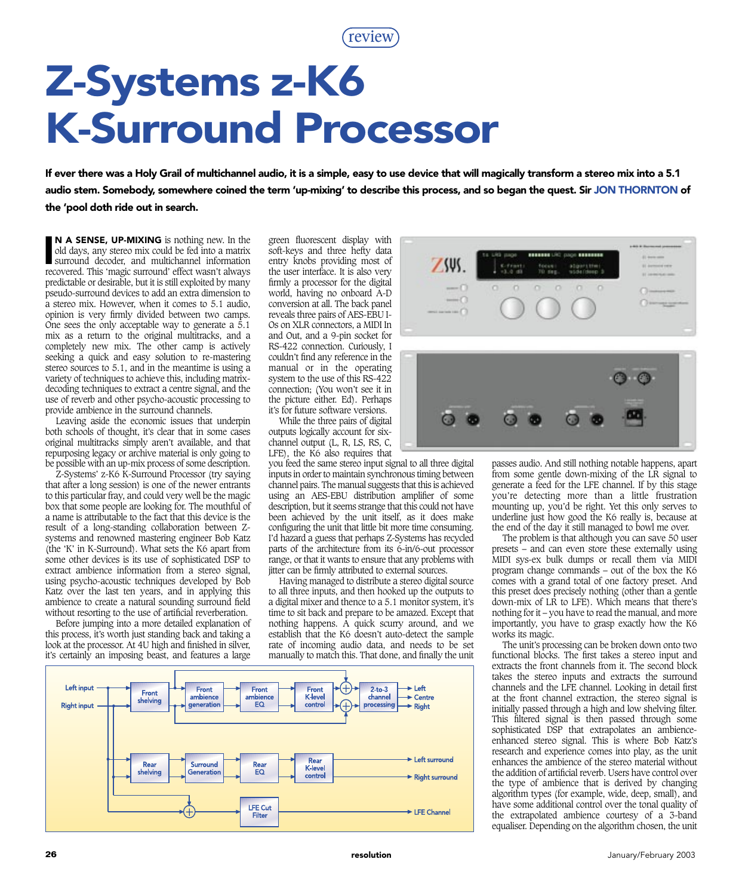review

## Z-Systems z-K6 K-Surround Processor

If ever there was a Holy Grail of multichannel audio, it is a simple, easy to use device that will magically transform a stereo mix into a 5.1 audio stem. Somebody, somewhere coined the term 'up-mixing' to describe this process, and so began the quest. Sir JON THORNTON of the 'pool doth ride out in search.

**N A SENSE, UP-MIXING** is nothing new. In the old days, any stereo mix could be fed into a matrix surround decoder, and multichannel information recovered This 'magic surround' effect wasn't always N A SENSE, UP-MIXING is nothing new. In the old days, any stereo mix could be fed into a matrix recovered. This 'magic surround' effect wasn't always predictable or desirable, but it is still exploited by many pseudo-surround devices to add an extra dimension to a stereo mix. However, when it comes to 5.1 audio, opinion is very firmly divided between two camps. One sees the only acceptable way to generate a 5.1 mix as a return to the original multitracks, and a completely new mix. The other camp is actively seeking a quick and easy solution to re-mastering stereo sources to 5.1, and in the meantime is using a variety of techniques to achieve this, including matrixdecoding techniques to extract a centre signal, and the use of reverb and other psycho-acoustic processing to provide ambience in the surround channels.

Leaving aside the economic issues that underpin both schools of thought, it's clear that in some cases original multitracks simply aren't available, and that repurposing legacy or archive material is only going to be possible with an up-mix process of some description.

Z-Systems' z-K6 K-Surround Processor (try saying that after a long session) is one of the newer entrants to this particular fray, and could very well be the magic box that some people are looking for. The mouthful of a name is attributable to the fact that this device is the result of a long-standing collaboration between Zsystems and renowned mastering engineer Bob Katz (the 'K' in K-Surround). What sets the K6 apart from some other devices is its use of sophisticated DSP to extract ambience information from a stereo signal, using psycho-acoustic techniques developed by Bob Katz over the last ten years, and in applying this ambience to create a natural sounding surround field without resorting to the use of artificial reverberation.

Before jumping into a more detailed explanation of this process, it's worth just standing back and taking a look at the processor. At 4U high and finished in silver, it's certainly an imposing beast, and features a large green fluorescent display with soft-keys and three hefty data entry knobs providing most of the user interface. It is also very firmly a processor for the digital world, having no onboard A-D conversion at all. The back panel reveals three pairs of AES-EBU I-Os on XLR connectors, a MIDI In and Out, and a 9-pin socket for RS-422 connection. Curiously, I couldn't find any reference in the manual or in the operating system to the use of this RS-422 connection; (You won't see it in the picture either. Ed). Perhaps it's for future software versions.

While the three pairs of digital outputs logically account for sixchannel output (L, R, LS, RS, C, LFE), the K6 also requires that

you feed the same stereo input signal to all three digital inputs in order to maintain synchronous timing between channel pairs. The manual suggests that this is achieved using an AES-EBU distribution amplifier of some description, but it seems strange that this could not have been achieved by the unit itself, as it does make configuring the unit that little bit more time consuming. I'd hazard a guess that perhaps Z-Systems has recycled parts of the architecture from its 6-in/6-out processor range, or that it wants to ensure that any problems with jitter can be firmly attributed to external sources.

Having managed to distribute a stereo digital source to all three inputs, and then hooked up the outputs to a digital mixer and thence to a 5.1 monitor system, it's time to sit back and prepare to be amazed. Except that nothing happens. A quick scurry around, and we establish that the K6 doesn't auto-detect the sample rate of incoming audio data, and needs to be set manually to match this. That done, and finally the unit





passes audio. And still nothing notable happens, apart from some gentle down-mixing of the LR signal to generate a feed for the LFE channel. If by this stage you're detecting more than a little frustration mounting up, you'd be right. Yet this only serves to underline just how good the K6 really is, because at the end of the day it still managed to bowl me over.

The problem is that although you can save 50 user presets – and can even store these externally using MIDI sys-ex bulk dumps or recall them via MIDI program change commands – out of the box the K6 comes with a grand total of one factory preset. And this preset does precisely nothing (other than a gentle down-mix of LR to LFE). Which means that there's nothing for it – you have to read the manual, and more importantly, you have to grasp exactly how the K6 works its magic.

The unit's processing can be broken down onto two functional blocks. The first takes a stereo input and extracts the front channels from it. The second block takes the stereo inputs and extracts the surround channels and the LFE channel. Looking in detail first at the front channel extraction, the stereo signal is initially passed through a high and low shelving filter. This filtered signal is then passed through some sophisticated DSP that extrapolates an ambienceenhanced stereo signal. This is where Bob Katz's research and experience comes into play, as the unit enhances the ambience of the stereo material without the addition of artificial reverb. Users have control over the type of ambience that is derived by changing algorithm types (for example, wide, deep, small), and have some additional control over the tonal quality of the extrapolated ambience courtesy of a 3-band equaliser. Depending on the algorithm chosen, the unit